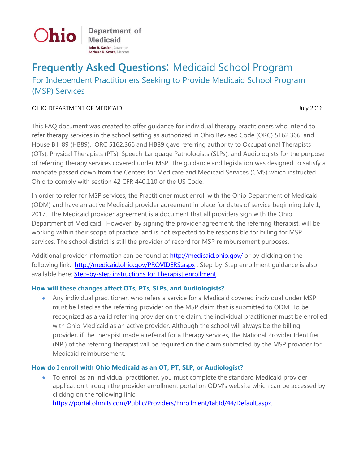

Department of **Medicaid John R. Kasich, Governor** Barbara R. Sears, Director

# **Frequently Asked Questions:** Medicaid School Program For Independent Practitioners Seeking to Provide Medicaid School Program (MSP) Services

#### OHIO DEPARTMENT OF MEDICAID July 2016

This FAQ document was created to offer guidance for individual therapy practitioners who intend to refer therapy services in the school setting as authorized in Ohio Revised Code (ORC) 5162.366, and House Bill 89 (HB89). ORC 5162.366 and HB89 gave referring authority to Occupational Therapists (OTs), Physical Therapists (PTs), Speech-Language Pathologists (SLPs), and Audiologists for the purpose of referring therapy services covered under MSP. The guidance and legislation was designed to satisfy a mandate passed down from the Centers for Medicare and Medicaid Services (CMS) which instructed Ohio to comply with section 42 CFR 440.110 of the US Code.

In order to refer for MSP services, the Practitioner must enroll with the Ohio Department of Medicaid (ODM) and have an active Medicaid provider agreement in place for dates of service beginning July 1, 2017. The Medicaid provider agreement is a document that all providers sign with the Ohio Department of Medicaid. However, by signing the provider agreement, the referring therapist, will be working within their scope of practice, and is not expected to be responsible for billing for MSP services. The school district is still the provider of record for MSP reimbursement purposes.

Additional provider information can be found at <http://medicaid.ohio.gov/> or by clicking on the following link: <http://medicaid.ohio.gov/PROVIDERS.aspx> . Step-by-Step enrollment guidance is also available here: Step-by-step [instructions for Therapist enrollment.](http://medicaid.ohio.gov/Portals/0/Providers/Enrollment%20and%20Support/EnrollmentInstructions-Therapist.pdf)

### **How will these changes affect OTs, PTs, SLPs, and Audiologists?**

• Any individual practitioner, who refers a service for a Medicaid covered individual under MSP must be listed as the referring provider on the MSP claim that is submitted to ODM. To be recognized as a valid referring provider on the claim, the individual practitioner must be enrolled with Ohio Medicaid as an active provider. Although the school will always be the billing provider, if the therapist made a referral for a therapy services, the National Provider Identifier (NPI) of the referring therapist will be required on the claim submitted by the MSP provider for Medicaid reimbursement.

### **How do I enroll with Ohio Medicaid as an OT, PT, SLP, or Audiologist?**

• To enroll as an individual practitioner, you must complete the standard Medicaid provider application through the provider enrollment portal on ODM's website which can be accessed by clicking on the following link:

[https://portal.ohmits.com/Public/Providers/Enrollment/tabId/44/Default.aspx.](https://portal.ohmits.com/Public/Providers/Enrollment/tabId/44/Default.aspx)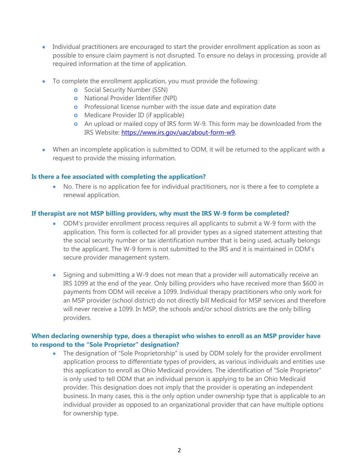- Individual practitioners are encouraged to start the provider enrollment application as soon as possible to ensure claim payment is not disrupted. To ensure no delays in processing, provide all required information at the time of application.
- To complete the enrollment application, you must provide the following:
	- **o** Social Security Number (SSN)
	- **o** National Provider Identifier (NPI)
	- **o** Professional license number with the issue date and expiration date
	- **o** Medicare Provider ID (if applicable)
	- **o** An upload or mailed copy of IRS form W-9. This form may be downloaded from the IRS Website: [https://www.irs.gov/uac/about-form-w9.](https://www.irs.gov/uac/about-form-w9)
- When an incomplete application is submitted to ODM, it will be returned to the applicant with a request to provide the missing information.

#### **Is there a fee associated with completing the application?**

• No. There is no application fee for individual practitioners, nor is there a fee to complete a renewal application.

#### **If therapist are not MSP billing providers, why must the IRS W-9 form be completed?**

- ODM's provider enrollment process requires all applicants to submit a W-9 form with the application. This form is collected for all provider types as a signed statement attesting that the social security number or tax identification number that is being used, actually belongs to the applicant. The W-9 form is not submitted to the IRS and it is maintained in ODM's secure provider management system.
- Signing and submitting a W-9 does not mean that a provider will automatically receive an IRS 1099 at the end of the year. Only billing providers who have received more than \$600 in payments from ODM will receive a 1099. Individual therapy practitioners who only work for an MSP provider (school district) do not directly bill Medicaid for MSP services and therefore will never receive a 1099. In MSP, the schools and/or school districts are the only billing providers.

#### **When declaring ownership type, does a therapist who wishes to enroll as an MSP provider have to respond to the "Sole Proprietor" designation?**

• The designation of "Sole Proprietorship" is used by ODM solely for the provider enrollment application process to differentiate types of providers, as various individuals and entities use this application to enroll as Ohio Medicaid providers. The identification of "Sole Proprietor" is only used to tell ODM that an individual person is applying to be an Ohio Medicaid provider. This designation does not imply that the provider is operating an independent business. In many cases, this is the only option under ownership type that is applicable to an individual provider as opposed to an organizational provider that can have multiple options for ownership type.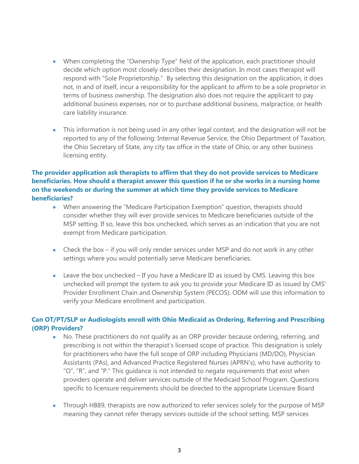- When completing the "Ownership Type" field of the application, each practitioner should decide which option most closely describes their designation. In most cases therapist will respond with "Sole Proprietorship." By selecting this designation on the application, it does not, in and of itself, incur a responsibility for the applicant to affirm to be a sole proprietor in terms of business ownership. The designation also does not require the applicant to pay additional business expenses, nor or to purchase additional business, malpractice, or health care liability insurance.
- This information is not being used in any other legal context, and the designation will not be reported to any of the following: Internal Revenue Service, the Ohio Department of Taxation, the Ohio Secretary of State, any city tax office in the state of Ohio, or any other business licensing entity.

### **The provider application ask therapists to affirm that they do not provide services to Medicare beneficiaries. How should a therapist answer this question if he or she works in a nursing home on the weekends or during the summer at which time they provide services to Medicare beneficiaries?**

- When answering the "Medicare Participation Exemption" question, therapists should consider whether they will ever provide services to Medicare beneficiaries outside of the MSP setting. If so, leave this box unchecked, which serves as an indication that you are not exempt from Medicare participation.
- Check the box if you will only render services under MSP and do not work in any other settings where you would potentially serve Medicare beneficiaries.
- Leave the box unchecked If you have a Medicare ID as issued by CMS. Leaving this box unchecked will prompt the system to ask you to provide your Medicare ID as issued by CMS' Provider Enrollment Chain and Ownership System (PECOS). ODM will use this information to verify your Medicare enrollment and participation.

### **Can OT/PT/SLP or Audiologists enroll with Ohio Medicaid as Ordering, Referring and Prescribing (ORP) Providers?**

- No. These practitioners do not qualify as an ORP provider because ordering, referring, and prescribing is not within the therapist's licensed scope of practice. This designation is solely for practitioners who have the full scope of ORP including Physicians (MD/DO), Physician Assistants (PAs), and Advanced Practice Registered Nurses (APRN's), who have authority to "O", "R", and "P." This guidance is not intended to negate requirements that exist when providers operate and deliver services outside of the Medicaid School Program. Questions specific to licensure requirements should be directed to the appropriate Licensure Board
- Through HB89, therapists are now authorized to refer services solely for the purpose of MSP meaning they cannot refer therapy services outside of the school setting. MSP services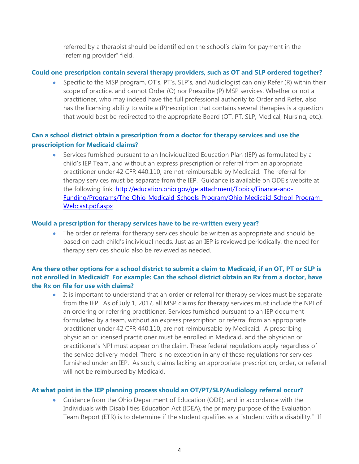referred by a therapist should be identified on the school's claim for payment in the "referring provider" field.

#### **Could one prescription contain several therapy providers, such as OT and SLP ordered together?**

• Specific to the MSP program, OT's, PT's, SLP's, and Audiologist can only Refer (R) within their scope of practice, and cannot Order (O) nor Prescribe (P) MSP services. Whether or not a practitioner, who may indeed have the full professional authority to Order and Refer, also has the licensing ability to write a (P)rescription that contains several therapies is a question that would best be redirected to the appropriate Board (OT, PT, SLP, Medical, Nursing, etc.).

# **Can a school district obtain a prescription from a doctor for therapy services and use the prescrioiption for Medicaid claims?**

• Services furnished pursuant to an Individualized Education Plan (IEP) as formulated by a child's IEP Team, and without an express prescription or referral from an appropriate practitioner under 42 CFR 440.110, are not reimbursable by Medicaid. The referral for therapy services must be separate from the IEP. Guidance is available on ODE's website at the following link: [http://education.ohio.gov/getattachment/Topics/Finance-and-](http://education.ohio.gov/getattachment/Topics/Finance-and-Funding/Programs/The-Ohio-Medicaid-Schools-Program/Ohio-Medicaid-School-Program-Webcast.pdf.aspx)[Funding/Programs/The-Ohio-Medicaid-Schools-Program/Ohio-Medicaid-School-Program-](http://education.ohio.gov/getattachment/Topics/Finance-and-Funding/Programs/The-Ohio-Medicaid-Schools-Program/Ohio-Medicaid-School-Program-Webcast.pdf.aspx)[Webcast.pdf.aspx](http://education.ohio.gov/getattachment/Topics/Finance-and-Funding/Programs/The-Ohio-Medicaid-Schools-Program/Ohio-Medicaid-School-Program-Webcast.pdf.aspx)

#### **Would a prescription for therapy services have to be re-written every year?**

• The order or referral for therapy services should be written as appropriate and should be based on each child's individual needs. Just as an IEP is reviewed periodically, the need for therapy services should also be reviewed as needed.

# **Are there other options for a school district to submit a claim to Medicaid, if an OT, PT or SLP is not enrolled in Medicaid? For example: Can the school district obtain an Rx from a doctor, have the Rx on file for use with claims?**

• It is important to understand that an order or referral for therapy services must be separate from the IEP. As of July 1, 2017, all MSP claims for therapy services must include the NPI of an ordering or referring practitioner. Services furnished pursuant to an IEP document formulated by a team, without an express prescription or referral from an appropriate practitioner under 42 CFR 440.110, are not reimbursable by Medicaid. A prescribing physician or licensed practitioner must be enrolled in Medicaid, and the physician or practitioner's NPI must appear on the claim. These federal regulations apply regardless of the service delivery model. There is no exception in any of these regulations for services furnished under an IEP. As such, claims lacking an appropriate prescription, order, or referral will not be reimbursed by Medicaid.

### **At what point in the IEP planning process should an OT/PT/SLP/Audiology referral occur?**

• Guidance from the Ohio Department of Education (ODE), and in accordance with the Individuals with Disabilities Education Act (IDEA), the primary purpose of the Evaluation Team Report (ETR) is to determine if the student qualifies as a "student with a disability." If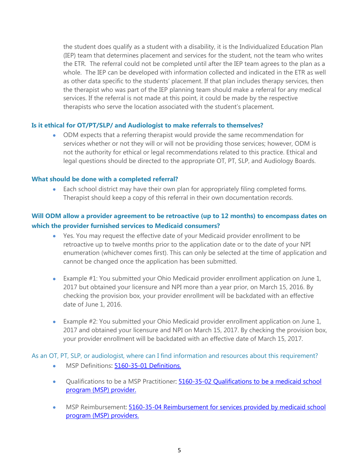the student does qualify as a student with a disability, it is the Individualized Education Plan (IEP) team that determines placement and services for the student, not the team who writes the ETR. The referral could not be completed until after the IEP team agrees to the plan as a whole. The IEP can be developed with information collected and indicated in the ETR as well as other data specific to the students' placement. If that plan includes therapy services, then the therapist who was part of the IEP planning team should make a referral for any medical services. If the referral is not made at this point, it could be made by the respective therapists who serve the location associated with the student's placement.

#### **Is it ethical for OT/PT/SLP/ and Audiologist to make referrals to themselves?**

• ODM expects that a referring therapist would provide the same recommendation for services whether or not they will or will not be providing those services; however, ODM is not the authority for ethical or legal recommendations related to this practice. Ethical and legal questions should be directed to the appropriate OT, PT, SLP, and Audiology Boards.

#### **What should be done with a completed referral?**

• Each school district may have their own plan for appropriately filing completed forms. Therapist should keep a copy of this referral in their own documentation records.

# **Will ODM allow a provider agreement to be retroactive (up to 12 months) to encompass dates on which the provider furnished services to Medicaid consumers?**

- Yes. You may request the effective date of your Medicaid provider enrollment to be retroactive up to twelve months prior to the application date or to the date of your NPI enumeration (whichever comes first). This can only be selected at the time of application and cannot be changed once the application has been submitted.
- Example #1: You submitted your Ohio Medicaid provider enrollment application on June 1, 2017 but obtained your licensure and NPI more than a year prior, on March 15, 2016. By checking the provision box, your provider enrollment will be backdated with an effective date of June 1, 2016.
- Example #2: You submitted your Ohio Medicaid provider enrollment application on June 1, 2017 and obtained your licensure and NPI on March 15, 2017. By checking the provision box, your provider enrollment will be backdated with an effective date of March 15, 2017.

As an OT, PT, SLP, or audiologist, where can I find information and resources about this requirement?

- MSP Definitions: [5160-35-01 Definitions.](http://codes.ohio.gov/oac/5160-35-01v1)
- Qualifications to be a MSP Practitioner: 5160-35-02 Qualifications to be a medicaid school [program \(MSP\) provider.](http://codes.ohio.gov/oac/5160-35-02v1)
- MSP Reimbursement: 5160-35-04 Reimbursement for services provided by medicaid school [program \(MSP\) providers.](http://codes.ohio.gov/oac/5160-35-04v1)